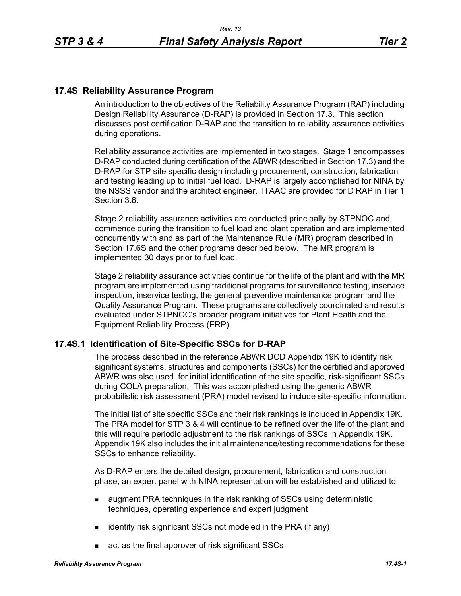## **17.4S Reliability Assurance Program**

An introduction to the objectives of the Reliability Assurance Program (RAP) including Design Reliability Assurance (D-RAP) is provided in Section 17.3. This section discusses post certification D-RAP and the transition to reliability assurance activities during operations.

Reliability assurance activities are implemented in two stages. Stage 1 encompasses D-RAP conducted during certification of the ABWR (described in Section 17.3) and the D-RAP for STP site specific design including procurement, construction, fabrication and testing leading up to initial fuel load. D-RAP is largely accomplished for NINA by the NSSS vendor and the architect engineer. ITAAC are provided for D RAP in Tier 1 Section 3.6.

Stage 2 reliability assurance activities are conducted principally by STPNOC and commence during the transition to fuel load and plant operation and are implemented concurrently with and as part of the Maintenance Rule (MR) program described in Section 17.6S and the other programs described below. The MR program is implemented 30 days prior to fuel load.

Stage 2 reliability assurance activities continue for the life of the plant and with the MR program are implemented using traditional programs for surveillance testing, inservice inspection, inservice testing, the general preventive maintenance program and the Quality Assurance Program. These programs are collectively coordinated and results evaluated under STPNOC's broader program initiatives for Plant Health and the Equipment Reliability Process (ERP).

### **17.4S.1 Identification of Site-Specific SSCs for D-RAP**

The process described in the reference ABWR DCD Appendix 19K to identify risk significant systems, structures and components (SSCs) for the certified and approved ABWR was also used for initial identification of the site specific, risk-significant SSCs during COLA preparation. This was accomplished using the generic ABWR probabilistic risk assessment (PRA) model revised to include site-specific information.

The initial list of site specific SSCs and their risk rankings is included in Appendix 19K. The PRA model for STP 3 & 4 will continue to be refined over the life of the plant and this will require periodic adjustment to the risk rankings of SSCs in Appendix 19K. Appendix 19K also includes the initial maintenance/testing recommendations for these SSCs to enhance reliability.

As D-RAP enters the detailed design, procurement, fabrication and construction phase, an expert panel with NINA representation will be established and utilized to:

- **a** augment PRA techniques in the risk ranking of SSCs using deterministic techniques, operating experience and expert judgment
- $\blacksquare$  identify risk significant SSCs not modeled in the PRA (if any)
- act as the final approver of risk significant SSCs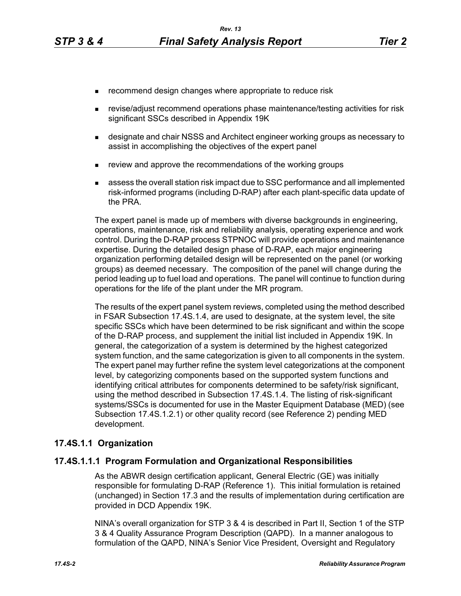- **EXECOMMENDERIGHT CHANGES** where appropriate to reduce risk
- revise/adjust recommend operations phase maintenance/testing activities for risk significant SSCs described in Appendix 19K
- **EXEDERITH** designate and chair NSSS and Architect engineer working groups as necessary to assist in accomplishing the objectives of the expert panel
- **EXECT** review and approve the recommendations of the working groups
- assess the overall station risk impact due to SSC performance and all implemented risk-informed programs (including D-RAP) after each plant-specific data update of the PRA.

The expert panel is made up of members with diverse backgrounds in engineering, operations, maintenance, risk and reliability analysis, operating experience and work control. During the D-RAP process STPNOC will provide operations and maintenance expertise. During the detailed design phase of D-RAP, each major engineering organization performing detailed design will be represented on the panel (or working groups) as deemed necessary. The composition of the panel will change during the period leading up to fuel load and operations. The panel will continue to function during operations for the life of the plant under the MR program.

The results of the expert panel system reviews, completed using the method described in FSAR Subsection 17.4S.1.4, are used to designate, at the system level, the site specific SSCs which have been determined to be risk significant and within the scope of the D-RAP process, and supplement the initial list included in Appendix 19K. In general, the categorization of a system is determined by the highest categorized system function, and the same categorization is given to all components in the system. The expert panel may further refine the system level categorizations at the component level, by categorizing components based on the supported system functions and identifying critical attributes for components determined to be safety/risk significant, using the method described in Subsection 17.4S.1.4. The listing of risk-significant systems/SSCs is documented for use in the Master Equipment Database (MED) (see Subsection 17.4S.1.2.1) or other quality record (see Reference 2) pending MED development.

### **17.4S.1.1 Organization**

### **17.4S.1.1.1 Program Formulation and Organizational Responsibilities**

As the ABWR design certification applicant, General Electric (GE) was initially responsible for formulating D-RAP (Reference 1). This initial formulation is retained (unchanged) in Section 17.3 and the results of implementation during certification are provided in DCD Appendix 19K.

NINA's overall organization for STP 3 & 4 is described in Part II, Section 1 of the STP 3 & 4 Quality Assurance Program Description (QAPD). In a manner analogous to formulation of the QAPD, NINA's Senior Vice President, Oversight and Regulatory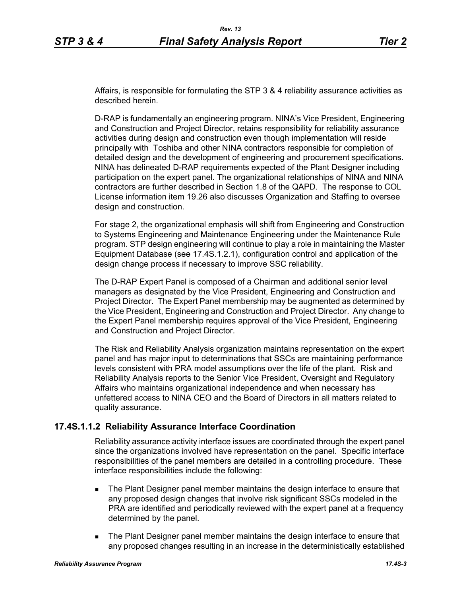Affairs, is responsible for formulating the STP 3 & 4 reliability assurance activities as described herein.

D-RAP is fundamentally an engineering program. NINA's Vice President, Engineering and Construction and Project Director, retains responsibility for reliability assurance activities during design and construction even though implementation will reside principally with Toshiba and other NINA contractors responsible for completion of detailed design and the development of engineering and procurement specifications. NINA has delineated D-RAP requirements expected of the Plant Designer including participation on the expert panel. The organizational relationships of NINA and NINA contractors are further described in Section 1.8 of the QAPD. The response to COL License information item 19.26 also discusses Organization and Staffing to oversee design and construction.

For stage 2, the organizational emphasis will shift from Engineering and Construction to Systems Engineering and Maintenance Engineering under the Maintenance Rule program. STP design engineering will continue to play a role in maintaining the Master Equipment Database (see 17.4S.1.2.1), configuration control and application of the design change process if necessary to improve SSC reliability.

The D-RAP Expert Panel is composed of a Chairman and additional senior level managers as designated by the Vice President, Engineering and Construction and Project Director. The Expert Panel membership may be augmented as determined by the Vice President, Engineering and Construction and Project Director. Any change to the Expert Panel membership requires approval of the Vice President, Engineering and Construction and Project Director.

The Risk and Reliability Analysis organization maintains representation on the expert panel and has major input to determinations that SSCs are maintaining performance levels consistent with PRA model assumptions over the life of the plant. Risk and Reliability Analysis reports to the Senior Vice President, Oversight and Regulatory Affairs who maintains organizational independence and when necessary has unfettered access to NINA CEO and the Board of Directors in all matters related to quality assurance.

## **17.4S.1.1.2 Reliability Assurance Interface Coordination**

Reliability assurance activity interface issues are coordinated through the expert panel since the organizations involved have representation on the panel. Specific interface responsibilities of the panel members are detailed in a controlling procedure. These interface responsibilities include the following:

- **The Plant Designer panel member maintains the design interface to ensure that** any proposed design changes that involve risk significant SSCs modeled in the PRA are identified and periodically reviewed with the expert panel at a frequency determined by the panel.
- **The Plant Designer panel member maintains the design interface to ensure that** any proposed changes resulting in an increase in the deterministically established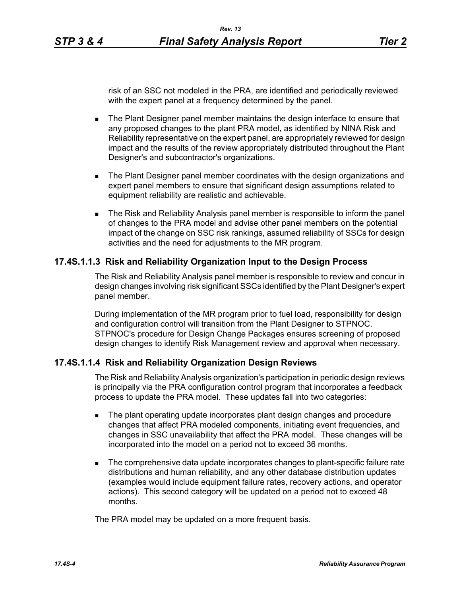risk of an SSC not modeled in the PRA, are identified and periodically reviewed with the expert panel at a frequency determined by the panel.

- **The Plant Designer panel member maintains the design interface to ensure that** any proposed changes to the plant PRA model, as identified by NINA Risk and Reliability representative on the expert panel, are appropriately reviewed for design impact and the results of the review appropriately distributed throughout the Plant Designer's and subcontractor's organizations.
- **The Plant Designer panel member coordinates with the design organizations and** expert panel members to ensure that significant design assumptions related to equipment reliability are realistic and achievable.
- The Risk and Reliability Analysis panel member is responsible to inform the panel of changes to the PRA model and advise other panel members on the potential impact of the change on SSC risk rankings, assumed reliability of SSCs for design activities and the need for adjustments to the MR program.

## **17.4S.1.1.3 Risk and Reliability Organization Input to the Design Process**

The Risk and Reliability Analysis panel member is responsible to review and concur in design changes involving risk significant SSCs identified by the Plant Designer's expert panel member.

During implementation of the MR program prior to fuel load, responsibility for design and configuration control will transition from the Plant Designer to STPNOC. STPNOC's procedure for Design Change Packages ensures screening of proposed design changes to identify Risk Management review and approval when necessary.

### **17.4S.1.1.4 Risk and Reliability Organization Design Reviews**

The Risk and Reliability Analysis organization's participation in periodic design reviews is principally via the PRA configuration control program that incorporates a feedback process to update the PRA model. These updates fall into two categories:

- The plant operating update incorporates plant design changes and procedure changes that affect PRA modeled components, initiating event frequencies, and changes in SSC unavailability that affect the PRA model. These changes will be incorporated into the model on a period not to exceed 36 months.
- The comprehensive data update incorporates changes to plant-specific failure rate distributions and human reliability, and any other database distribution updates (examples would include equipment failure rates, recovery actions, and operator actions). This second category will be updated on a period not to exceed 48 months.

The PRA model may be updated on a more frequent basis.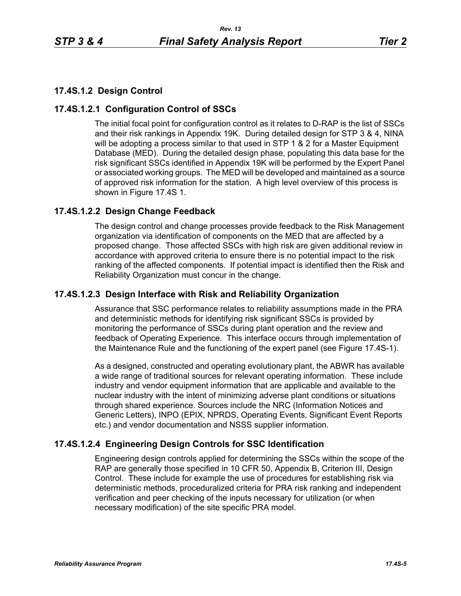# **17.4S.1.2 Design Control**

## **17.4S.1.2.1 Configuration Control of SSCs**

The initial focal point for configuration control as it relates to D-RAP is the list of SSCs and their risk rankings in Appendix 19K. During detailed design for STP 3 & 4, NINA will be adopting a process similar to that used in STP 1 & 2 for a Master Equipment Database (MED). During the detailed design phase, populating this data base for the risk significant SSCs identified in Appendix 19K will be performed by the Expert Panel or associated working groups. The MED will be developed and maintained as a source of approved risk information for the station. A high level overview of this process is shown in Figure 17.4S 1.

## **17.4S.1.2.2 Design Change Feedback**

The design control and change processes provide feedback to the Risk Management organization via identification of components on the MED that are affected by a proposed change. Those affected SSCs with high risk are given additional review in accordance with approved criteria to ensure there is no potential impact to the risk ranking of the affected components. If potential impact is identified then the Risk and Reliability Organization must concur in the change.

## **17.4S.1.2.3 Design Interface with Risk and Reliability Organization**

Assurance that SSC performance relates to reliability assumptions made in the PRA and deterministic methods for identifying risk significant SSCs is provided by monitoring the performance of SSCs during plant operation and the review and feedback of Operating Experience. This interface occurs through implementation of the Maintenance Rule and the functioning of the expert panel (see Figure 17.4S-1).

As a designed, constructed and operating evolutionary plant, the ABWR has available a wide range of traditional sources for relevant operating information. These include industry and vendor equipment information that are applicable and available to the nuclear industry with the intent of minimizing adverse plant conditions or situations through shared experience. Sources include the NRC (Information Notices and Generic Letters), INPO (EPIX, NPRDS, Operating Events, Significant Event Reports etc.) and vendor documentation and NSSS supplier information.

## **17.4S.1.2.4 Engineering Design Controls for SSC Identification**

Engineering design controls applied for determining the SSCs within the scope of the RAP are generally those specified in 10 CFR 50, Appendix B, Criterion III, Design Control. These include for example the use of procedures for establishing risk via deterministic methods, proceduralized criteria for PRA risk ranking and independent verification and peer checking of the inputs necessary for utilization (or when necessary modification) of the site specific PRA model.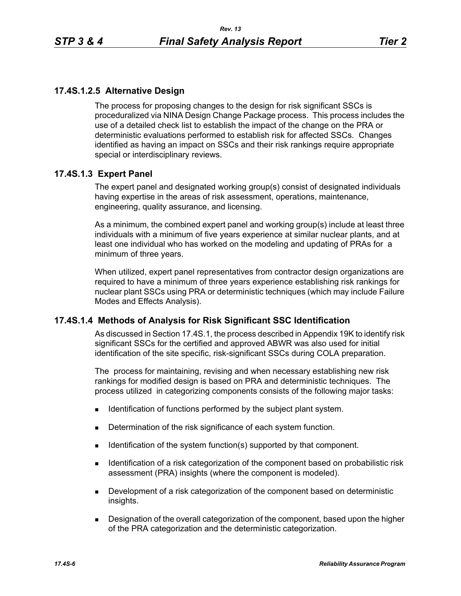## **17.4S.1.2.5 Alternative Design**

The process for proposing changes to the design for risk significant SSCs is proceduralized via NINA Design Change Package process. This process includes the use of a detailed check list to establish the impact of the change on the PRA or deterministic evaluations performed to establish risk for affected SSCs. Changes identified as having an impact on SSCs and their risk rankings require appropriate special or interdisciplinary reviews.

## **17.4S.1.3 Expert Panel**

The expert panel and designated working group(s) consist of designated individuals having expertise in the areas of risk assessment, operations, maintenance, engineering, quality assurance, and licensing.

As a minimum, the combined expert panel and working group(s) include at least three individuals with a minimum of five years experience at similar nuclear plants, and at least one individual who has worked on the modeling and updating of PRAs for a minimum of three years.

When utilized, expert panel representatives from contractor design organizations are required to have a minimum of three years experience establishing risk rankings for nuclear plant SSCs using PRA or deterministic techniques (which may include Failure Modes and Effects Analysis).

## **17.4S.1.4 Methods of Analysis for Risk Significant SSC Identification**

As discussed in Section 17.4S.1, the process described in Appendix 19K to identify risk significant SSCs for the certified and approved ABWR was also used for initial identification of the site specific, risk-significant SSCs during COLA preparation.

The process for maintaining, revising and when necessary establishing new risk rankings for modified design is based on PRA and deterministic techniques. The process utilized in categorizing components consists of the following major tasks:

- **IDENTIFICATE IS CONTIFICATE:** Identification of functions performed by the subject plant system.
- Determination of the risk significance of each system function.
- Identification of the system function(s) supported by that component.
- **IDENTIFY IDENTIFY IDENTIFY IS A THE LIGHT OF THE UP THE UP THE UP THE UP THE IS A THE UP THE UP THE UP THE UP THE UP THE UP THE UP THE UP THE UP THE UP THE UP THE UP THE UP THE UP THE UP THE UP THE UP THE UP THE UP THE UP** assessment (PRA) insights (where the component is modeled).
- Development of a risk categorization of the component based on deterministic insights.
- **Designation of the overall categorization of the component, based upon the higher** of the PRA categorization and the deterministic categorization.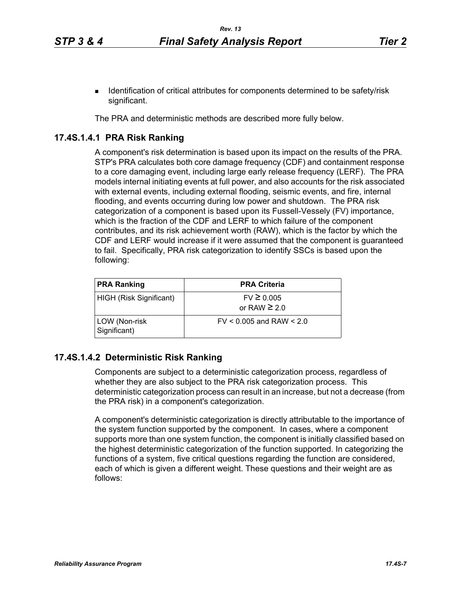The PRA and deterministic methods are described more fully below.

## **17.4S.1.4.1 PRA Risk Ranking**

A component's risk determination is based upon its impact on the results of the PRA. STP's PRA calculates both core damage frequency (CDF) and containment response to a core damaging event, including large early release frequency (LERF). The PRA models internal initiating events at full power, and also accounts for the risk associated with external events, including external flooding, seismic events, and fire, internal flooding, and events occurring during low power and shutdown. The PRA risk categorization of a component is based upon its Fussell-Vessely (FV) importance, which is the fraction of the CDF and LERF to which failure of the component contributes, and its risk achievement worth (RAW), which is the factor by which the CDF and LERF would increase if it were assumed that the component is guaranteed to fail. Specifically, PRA risk categorization to identify SSCs is based upon the following:

| <b>PRA Ranking</b>            | <b>PRA Criteria</b>                 |
|-------------------------------|-------------------------------------|
| HIGH (Risk Significant)       | $FV \ge 0.005$<br>or RAW $\geq 2.0$ |
| LOW (Non-risk<br>Significant) | $FV < 0.005$ and RAW $< 2.0$        |

## **17.4S.1.4.2 Deterministic Risk Ranking**

Components are subject to a deterministic categorization process, regardless of whether they are also subject to the PRA risk categorization process. This deterministic categorization process can result in an increase, but not a decrease (from the PRA risk) in a component's categorization.

A component's deterministic categorization is directly attributable to the importance of the system function supported by the component. In cases, where a component supports more than one system function, the component is initially classified based on the highest deterministic categorization of the function supported. In categorizing the functions of a system, five critical questions regarding the function are considered, each of which is given a different weight. These questions and their weight are as follows: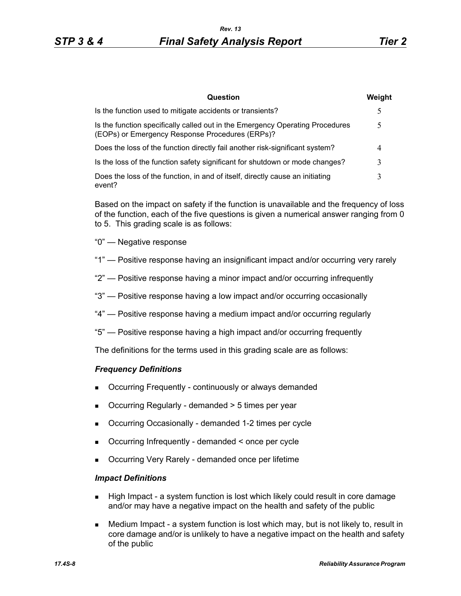| Question                                                                                                                         | Weight |
|----------------------------------------------------------------------------------------------------------------------------------|--------|
| Is the function used to mitigate accidents or transients?                                                                        | 5      |
| Is the function specifically called out in the Emergency Operating Procedures<br>(EOPs) or Emergency Response Procedures (ERPs)? |        |
| Does the loss of the function directly fail another risk-significant system?                                                     |        |
| Is the loss of the function safety significant for shutdown or mode changes?                                                     |        |
| Does the loss of the function, in and of itself, directly cause an initiating<br>event?                                          |        |

Based on the impact on safety if the function is unavailable and the frequency of loss of the function, each of the five questions is given a numerical answer ranging from 0 to 5. This grading scale is as follows:

- "0" Negative response
- "1" Positive response having an insignificant impact and/or occurring very rarely
- "2" Positive response having a minor impact and/or occurring infrequently
- "3" Positive response having a low impact and/or occurring occasionally
- "4" Positive response having a medium impact and/or occurring regularly
- "5" Positive response having a high impact and/or occurring frequently

The definitions for the terms used in this grading scale are as follows:

#### *Frequency Definitions*

- Occurring Frequently continuously or always demanded
- Occurring Regularly demanded > 5 times per year
- Occurring Occasionally demanded 1-2 times per cycle
- Occurring Infrequently demanded < once per cycle
- Occurring Very Rarely demanded once per lifetime

#### *Impact Definitions*

- **High Impact a system function is lost which likely could result in core damage** and/or may have a negative impact on the health and safety of the public
- Medium Impact a system function is lost which may, but is not likely to, result in core damage and/or is unlikely to have a negative impact on the health and safety of the public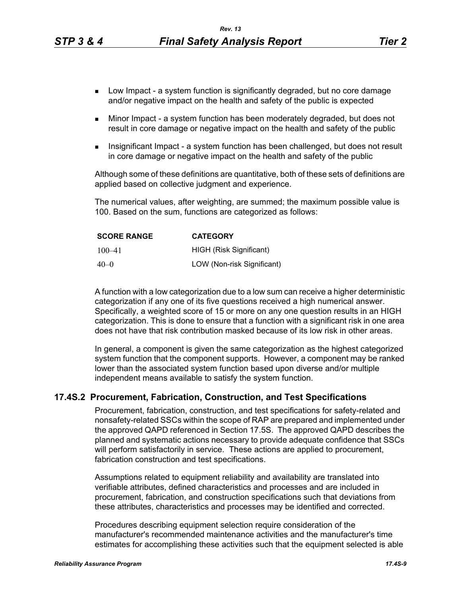- **Low Impact a system function is significantly degraded, but no core damage** and/or negative impact on the health and safety of the public is expected
- Minor Impact a system function has been moderately degraded, but does not result in core damage or negative impact on the health and safety of the public
- Insignificant Impact a system function has been challenged, but does not result in core damage or negative impact on the health and safety of the public

Although some of these definitions are quantitative, both of these sets of definitions are applied based on collective judgment and experience.

The numerical values, after weighting, are summed; the maximum possible value is 100. Based on the sum, functions are categorized as follows:

| <b>SCORE RANGE</b> | <b>CATEGORY</b>            |
|--------------------|----------------------------|
| $100 - 41$         | HIGH (Risk Significant)    |
| $40 - 0$           | LOW (Non-risk Significant) |

A function with a low categorization due to a low sum can receive a higher deterministic categorization if any one of its five questions received a high numerical answer. Specifically, a weighted score of 15 or more on any one question results in an HIGH categorization. This is done to ensure that a function with a significant risk in one area does not have that risk contribution masked because of its low risk in other areas.

In general, a component is given the same categorization as the highest categorized system function that the component supports. However, a component may be ranked lower than the associated system function based upon diverse and/or multiple independent means available to satisfy the system function.

#### **17.4S.2 Procurement, Fabrication, Construction, and Test Specifications**

Procurement, fabrication, construction, and test specifications for safety-related and nonsafety-related SSCs within the scope of RAP are prepared and implemented under the approved QAPD referenced in Section 17.5S. The approved QAPD describes the planned and systematic actions necessary to provide adequate confidence that SSCs will perform satisfactorily in service. These actions are applied to procurement, fabrication construction and test specifications.

Assumptions related to equipment reliability and availability are translated into verifiable attributes, defined characteristics and processes and are included in procurement, fabrication, and construction specifications such that deviations from these attributes, characteristics and processes may be identified and corrected.

Procedures describing equipment selection require consideration of the manufacturer's recommended maintenance activities and the manufacturer's time estimates for accomplishing these activities such that the equipment selected is able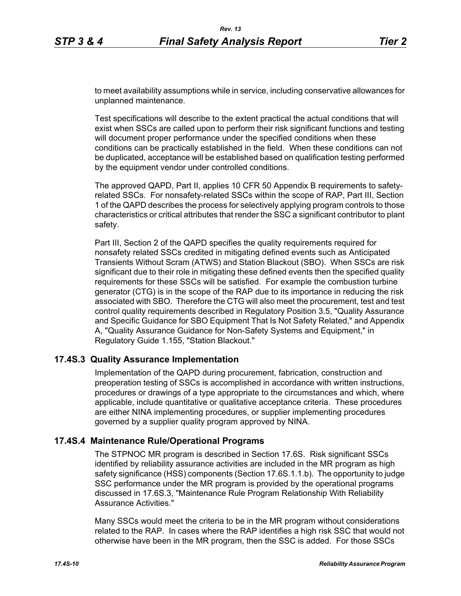to meet availability assumptions while in service, including conservative allowances for unplanned maintenance.

Test specifications will describe to the extent practical the actual conditions that will exist when SSCs are called upon to perform their risk significant functions and testing will document proper performance under the specified conditions when these conditions can be practically established in the field. When these conditions can not be duplicated, acceptance will be established based on qualification testing performed by the equipment vendor under controlled conditions.

The approved QAPD, Part II, applies 10 CFR 50 Appendix B requirements to safetyrelated SSCs. For nonsafety-related SSCs within the scope of RAP, Part III, Section 1 of the QAPD describes the process for selectively applying program controls to those characteristics or critical attributes that render the SSC a significant contributor to plant safety.

Part III, Section 2 of the QAPD specifies the quality requirements required for nonsafety related SSCs credited in mitigating defined events such as Anticipated Transients Without Scram (ATWS) and Station Blackout (SBO). When SSCs are risk significant due to their role in mitigating these defined events then the specified quality requirements for these SSCs will be satisfied. For example the combustion turbine generator (CTG) is in the scope of the RAP due to its importance in reducing the risk associated with SBO. Therefore the CTG will also meet the procurement, test and test control quality requirements described in Regulatory Position 3.5, "Quality Assurance and Specific Guidance for SBO Equipment That Is Not Safety Related," and Appendix A, "Quality Assurance Guidance for Non-Safety Systems and Equipment," in Regulatory Guide 1.155, "Station Blackout."

### **17.4S.3 Quality Assurance Implementation**

Implementation of the QAPD during procurement, fabrication, construction and preoperation testing of SSCs is accomplished in accordance with written instructions, procedures or drawings of a type appropriate to the circumstances and which, where applicable, include quantitative or qualitative acceptance criteria. These procedures are either NINA implementing procedures, or supplier implementing procedures governed by a supplier quality program approved by NINA.

### **17.4S.4 Maintenance Rule/Operational Programs**

The STPNOC MR program is described in Section 17.6S. Risk significant SSCs identified by reliability assurance activities are included in the MR program as high safety significance (HSS) components (Section 17.6S.1.1.b). The opportunity to judge SSC performance under the MR program is provided by the operational programs discussed in 17.6S.3, "Maintenance Rule Program Relationship With Reliability Assurance Activities."

Many SSCs would meet the criteria to be in the MR program without considerations related to the RAP. In cases where the RAP identifies a high risk SSC that would not otherwise have been in the MR program, then the SSC is added. For those SSCs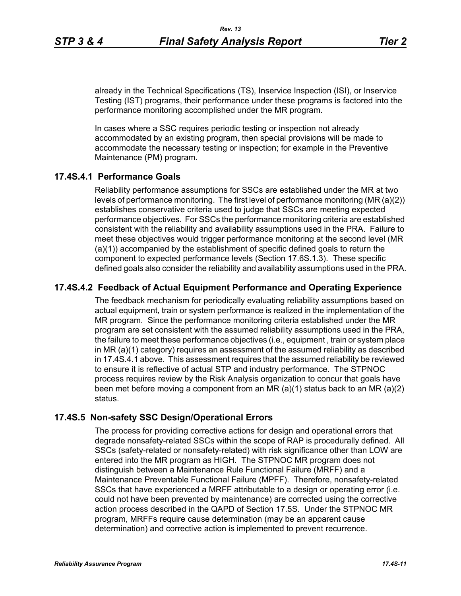already in the Technical Specifications (TS), Inservice Inspection (ISI), or Inservice Testing (IST) programs, their performance under these programs is factored into the performance monitoring accomplished under the MR program.

In cases where a SSC requires periodic testing or inspection not already accommodated by an existing program, then special provisions will be made to accommodate the necessary testing or inspection; for example in the Preventive Maintenance (PM) program.

### **17.4S.4.1 Performance Goals**

Reliability performance assumptions for SSCs are established under the MR at two levels of performance monitoring. The first level of performance monitoring (MR (a)(2)) establishes conservative criteria used to judge that SSCs are meeting expected performance objectives. For SSCs the performance monitoring criteria are established consistent with the reliability and availability assumptions used in the PRA. Failure to meet these objectives would trigger performance monitoring at the second level (MR (a)(1)) accompanied by the establishment of specific defined goals to return the component to expected performance levels (Section 17.6S.1.3). These specific defined goals also consider the reliability and availability assumptions used in the PRA.

### **17.4S.4.2 Feedback of Actual Equipment Performance and Operating Experience**

The feedback mechanism for periodically evaluating reliability assumptions based on actual equipment, train or system performance is realized in the implementation of the MR program. Since the performance monitoring criteria established under the MR program are set consistent with the assumed reliability assumptions used in the PRA, the failure to meet these performance objectives (i.e., equipment , train or system place in MR (a)(1) category) requires an assessment of the assumed reliability as described in 17.4S.4.1 above. This assessment requires that the assumed reliability be reviewed to ensure it is reflective of actual STP and industry performance. The STPNOC process requires review by the Risk Analysis organization to concur that goals have been met before moving a component from an MR (a)(1) status back to an MR (a)(2) status.

#### **17.4S.5 Non-safety SSC Design/Operational Errors**

The process for providing corrective actions for design and operational errors that degrade nonsafety-related SSCs within the scope of RAP is procedurally defined. All SSCs (safety-related or nonsafety-related) with risk significance other than LOW are entered into the MR program as HIGH. The STPNOC MR program does not distinguish between a Maintenance Rule Functional Failure (MRFF) and a Maintenance Preventable Functional Failure (MPFF). Therefore, nonsafety-related SSCs that have experienced a MRFF attributable to a design or operating error (i.e. could not have been prevented by maintenance) are corrected using the corrective action process described in the QAPD of Section 17.5S. Under the STPNOC MR program, MRFFs require cause determination (may be an apparent cause determination) and corrective action is implemented to prevent recurrence.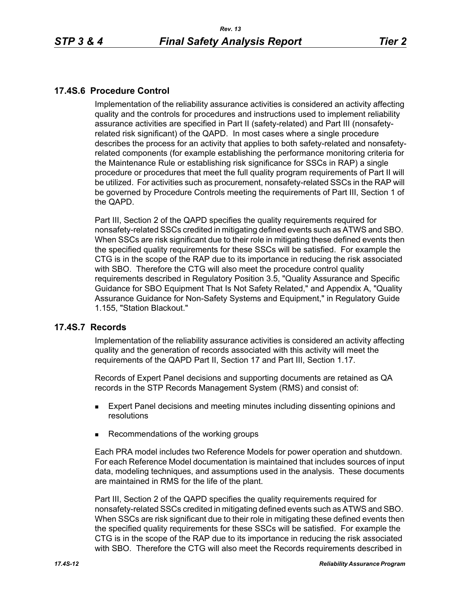## **17.4S.6 Procedure Control**

Implementation of the reliability assurance activities is considered an activity affecting quality and the controls for procedures and instructions used to implement reliability assurance activities are specified in Part II (safety-related) and Part III (nonsafetyrelated risk significant) of the QAPD. In most cases where a single procedure describes the process for an activity that applies to both safety-related and nonsafetyrelated components (for example establishing the performance monitoring criteria for the Maintenance Rule or establishing risk significance for SSCs in RAP) a single procedure or procedures that meet the full quality program requirements of Part II will be utilized. For activities such as procurement, nonsafety-related SSCs in the RAP will be governed by Procedure Controls meeting the requirements of Part III, Section 1 of the QAPD.

Part III, Section 2 of the QAPD specifies the quality requirements required for nonsafety-related SSCs credited in mitigating defined events such as ATWS and SBO. When SSCs are risk significant due to their role in mitigating these defined events then the specified quality requirements for these SSCs will be satisfied. For example the CTG is in the scope of the RAP due to its importance in reducing the risk associated with SBO. Therefore the CTG will also meet the procedure control quality requirements described in Regulatory Position 3.5, "Quality Assurance and Specific Guidance for SBO Equipment That Is Not Safety Related," and Appendix A, "Quality Assurance Guidance for Non-Safety Systems and Equipment," in Regulatory Guide 1.155, "Station Blackout."

### **17.4S.7 Records**

Implementation of the reliability assurance activities is considered an activity affecting quality and the generation of records associated with this activity will meet the requirements of the QAPD Part II, Section 17 and Part III, Section 1.17.

Records of Expert Panel decisions and supporting documents are retained as QA records in the STP Records Management System (RMS) and consist of:

- **Expert Panel decisions and meeting minutes including dissenting opinions and** resolutions
- Recommendations of the working groups

Each PRA model includes two Reference Models for power operation and shutdown. For each Reference Model documentation is maintained that includes sources of input data, modeling techniques, and assumptions used in the analysis. These documents are maintained in RMS for the life of the plant.

Part III, Section 2 of the QAPD specifies the quality requirements required for nonsafety-related SSCs credited in mitigating defined events such as ATWS and SBO. When SSCs are risk significant due to their role in mitigating these defined events then the specified quality requirements for these SSCs will be satisfied. For example the CTG is in the scope of the RAP due to its importance in reducing the risk associated with SBO. Therefore the CTG will also meet the Records requirements described in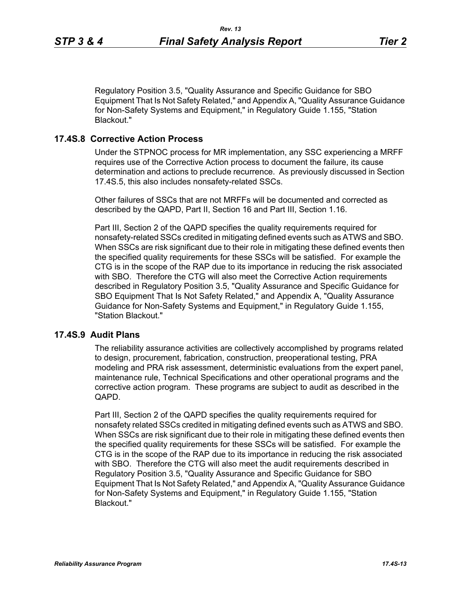Regulatory Position 3.5, "Quality Assurance and Specific Guidance for SBO Equipment That Is Not Safety Related," and Appendix A, "Quality Assurance Guidance for Non-Safety Systems and Equipment," in Regulatory Guide 1.155, "Station Blackout."

### **17.4S.8 Corrective Action Process**

Under the STPNOC process for MR implementation, any SSC experiencing a MRFF requires use of the Corrective Action process to document the failure, its cause determination and actions to preclude recurrence. As previously discussed in Section 17.4S.5, this also includes nonsafety-related SSCs.

Other failures of SSCs that are not MRFFs will be documented and corrected as described by the QAPD, Part II, Section 16 and Part III, Section 1.16.

Part III, Section 2 of the QAPD specifies the quality requirements required for nonsafety-related SSCs credited in mitigating defined events such as ATWS and SBO. When SSCs are risk significant due to their role in mitigating these defined events then the specified quality requirements for these SSCs will be satisfied. For example the CTG is in the scope of the RAP due to its importance in reducing the risk associated with SBO. Therefore the CTG will also meet the Corrective Action requirements described in Regulatory Position 3.5, "Quality Assurance and Specific Guidance for SBO Equipment That Is Not Safety Related," and Appendix A, "Quality Assurance Guidance for Non-Safety Systems and Equipment," in Regulatory Guide 1.155, "Station Blackout."

### **17.4S.9 Audit Plans**

The reliability assurance activities are collectively accomplished by programs related to design, procurement, fabrication, construction, preoperational testing, PRA modeling and PRA risk assessment, deterministic evaluations from the expert panel, maintenance rule, Technical Specifications and other operational programs and the corrective action program. These programs are subject to audit as described in the QAPD.

Part III, Section 2 of the QAPD specifies the quality requirements required for nonsafety related SSCs credited in mitigating defined events such as ATWS and SBO. When SSCs are risk significant due to their role in mitigating these defined events then the specified quality requirements for these SSCs will be satisfied. For example the CTG is in the scope of the RAP due to its importance in reducing the risk associated with SBO. Therefore the CTG will also meet the audit requirements described in Regulatory Position 3.5, "Quality Assurance and Specific Guidance for SBO Equipment That Is Not Safety Related," and Appendix A, "Quality Assurance Guidance for Non-Safety Systems and Equipment," in Regulatory Guide 1.155, "Station Blackout."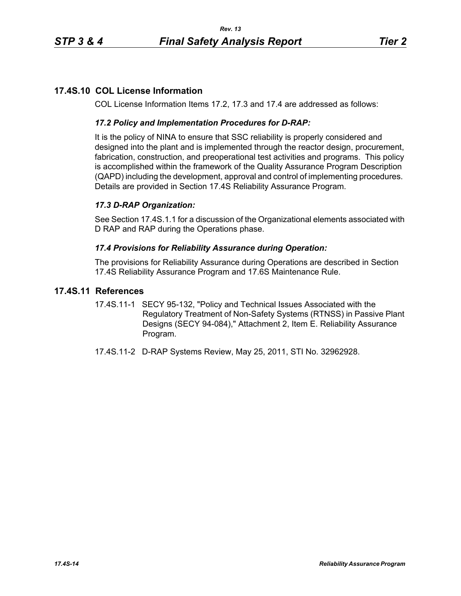# **17.4S.10 COL License Information**

COL License Information Items 17.2, 17.3 and 17.4 are addressed as follows:

## *17.2 Policy and Implementation Procedures for D-RAP:*

It is the policy of NINA to ensure that SSC reliability is properly considered and designed into the plant and is implemented through the reactor design, procurement, fabrication, construction, and preoperational test activities and programs. This policy is accomplished within the framework of the Quality Assurance Program Description (QAPD) including the development, approval and control of implementing procedures. Details are provided in Section 17.4S Reliability Assurance Program.

## *17.3 D-RAP Organization:*

See Section 17.4S.1.1 for a discussion of the Organizational elements associated with D RAP and RAP during the Operations phase.

### *17.4 Provisions for Reliability Assurance during Operation:*

The provisions for Reliability Assurance during Operations are described in Section 17.4S Reliability Assurance Program and 17.6S Maintenance Rule.

## **17.4S.11 References**

- 17.4S.11-1 SECY 95-132, "Policy and Technical Issues Associated with the Regulatory Treatment of Non-Safety Systems (RTNSS) in Passive Plant Designs (SECY 94-084)," Attachment 2, Item E. Reliability Assurance Program.
- 17.4S.11-2 D-RAP Systems Review, May 25, 2011, STI No. 32962928.